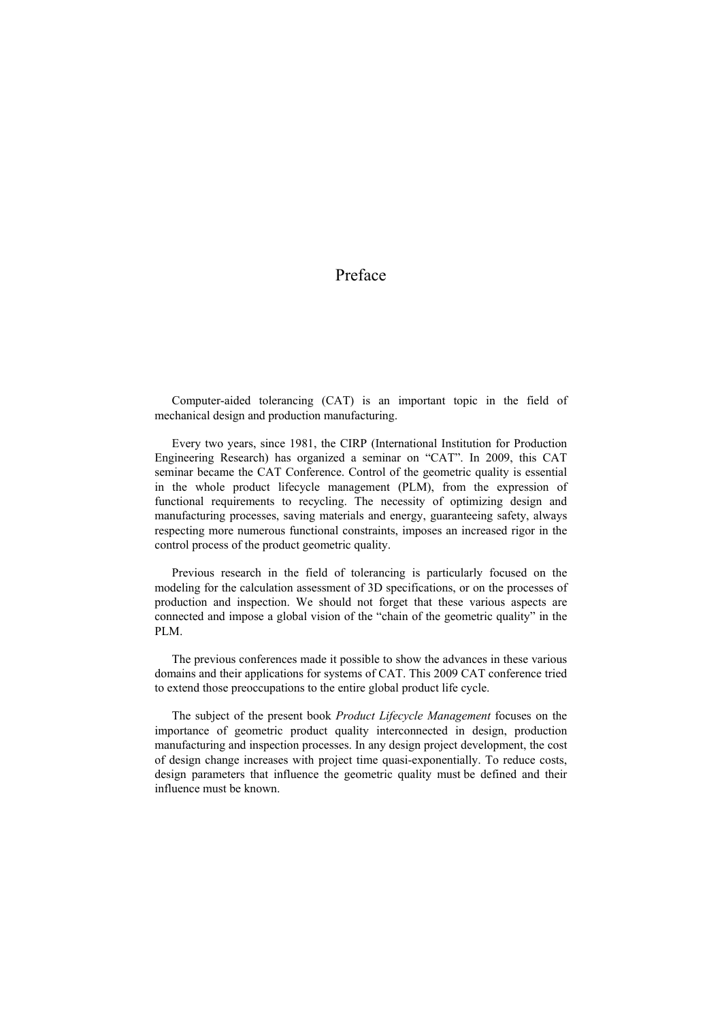## Preface

Computer-aided tolerancing (CAT) is an important topic in the field of mechanical design and production manufacturing.

Every two years, since 1981, the CIRP (International Institution for Production Engineering Research) has organized a seminar on "CAT". In 2009, this CAT seminar became the CAT Conference. Control of the geometric quality is essential in the whole product lifecycle management (PLM), from the expression of functional requirements to recycling. The necessity of optimizing design and manufacturing processes, saving materials and energy, guaranteeing safety, always respecting more numerous functional constraints, imposes an increased rigor in the control process of the product geometric quality.

Previous research in the field of tolerancing is particularly focused on the modeling for the calculation assessment of 3D specifications, or on the processes of production and inspection. We should not forget that these various aspects are connected and impose a global vision of the "chain of the geometric quality" in the PLM.

The previous conferences made it possible to show the advances in these various domains and their applications for systems of CAT. This 2009 CAT conference tried to extend those preoccupations to the entire global product life cycle.

The subject of the present book *Product Lifecycle Management* focuses on the importance of geometric product quality interconnected in design, production manufacturing and inspection processes. In any design project development, the cost of design change increases with project time quasi-exponentially. To reduce costs, design parameters that influence the geometric quality must be defined and their influence must be known.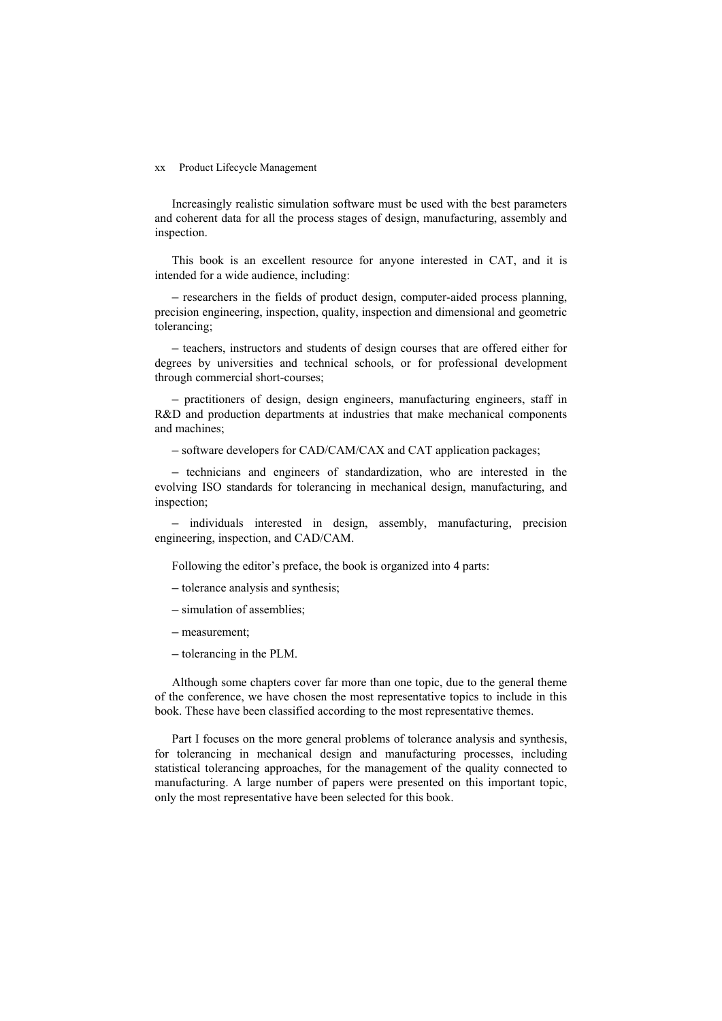## xx Product Lifecycle Management

Increasingly realistic simulation software must be used with the best parameters and coherent data for all the process stages of design, manufacturing, assembly and inspection.

This book is an excellent resource for anyone interested in CAT, and it is intended for a wide audience, including:

– researchers in the fields of product design, computer-aided process planning, precision engineering, inspection, quality, inspection and dimensional and geometric tolerancing;

– teachers, instructors and students of design courses that are offered either for degrees by universities and technical schools, or for professional development through commercial short-courses;

– practitioners of design, design engineers, manufacturing engineers, staff in R&D and production departments at industries that make mechanical components and machines;

– software developers for CAD/CAM/CAX and CAT application packages;

– technicians and engineers of standardization, who are interested in the evolving ISO standards for tolerancing in mechanical design, manufacturing, and inspection;

– individuals interested in design, assembly, manufacturing, precision engineering, inspection, and CAD/CAM.

Following the editor's preface, the book is organized into 4 parts:

– tolerance analysis and synthesis;

– simulation of assemblies;

- measurement;
- tolerancing in the PLM.

Although some chapters cover far more than one topic, due to the general theme of the conference, we have chosen the most representative topics to include in this book. These have been classified according to the most representative themes.

Part I focuses on the more general problems of tolerance analysis and synthesis, for tolerancing in mechanical design and manufacturing processes, including statistical tolerancing approaches, for the management of the quality connected to manufacturing. A large number of papers were presented on this important topic, only the most representative have been selected for this book.